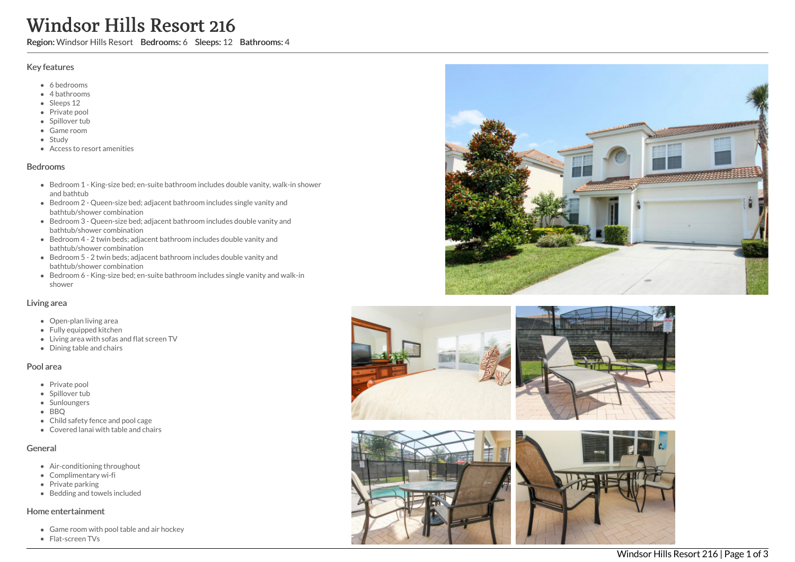# Windsor Hills Resort 216

Region: Windsor Hills Resort Bedrooms: 6 Sleeps: 12 Bathrooms: 4

#### Key features

- 6 b e d r o o m s
- 4 bathrooms
- Sleeps 12
- Private pool
- Spillover tub
- Game room
- Study
- Access to resort amenities

#### **Bedrooms**

- Bedroom 1 King-size bed; en-suite bathroom includes double vanity, walk-in shower and bathtub
- Bedroom 2 Queen-size bed; adjacent bathroom includes single vanity and bathtub/shower combination
- Bedroom 3 Queen-size bed; adjacent bathroom includes double vanity and bathtub/shower combination
- Bedroom 4 2 twin beds; adjacent bathroom includes double vanity and bathtub/shower combination
- Bedroom 5 2 twin beds; adjacent bathroom includes double vanity and bathtub/shower combination
- Bedroom 6 King-size bed; en-suite bathroom includes single vanity and walk-in s h o w e r

#### Living area

- Open-plan living area
- Fully equipped kitchen
- Living area with sofas and flat screen TV
- Dining table and chairs

#### Pool area

- Private pool
- Spillover tub
- Sunloungers
- BBQ
- Child safety fence and pool cage
- Covered lanai with table and chairs

### General

- Air-conditioning throughout
- Complimentary wi-fi
- Private parking
- Bedding and towels included

#### Home entertainment

- Game room with pool table and air hockey
- Flat-screen TVs









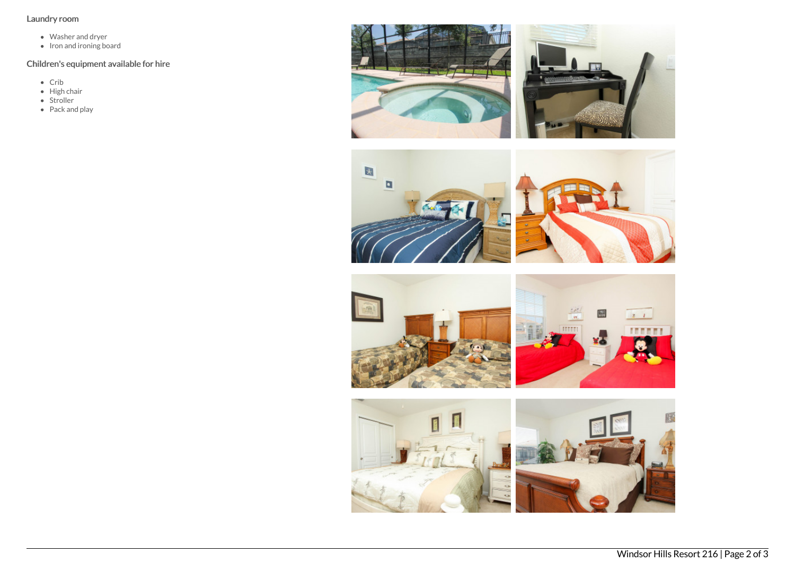## Laundry room

- Washer and dryer
- Iron and ironing board

# Children's equipment available for hire

- Crib
- High chair
- Stroller
- Pack and play